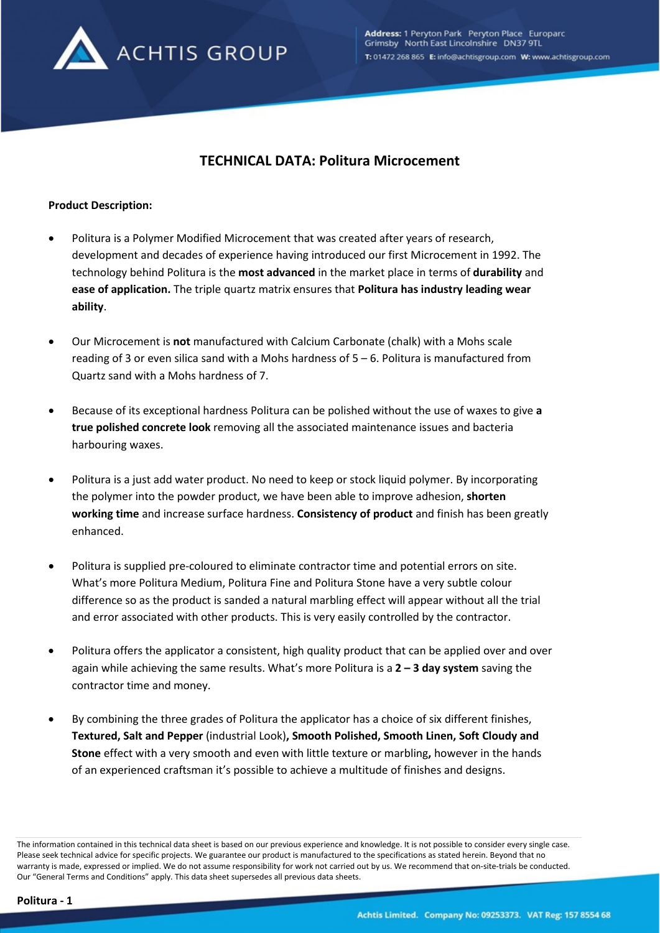

# **TECHNICAL DATA: Politura Microcement**

### **Product Description:**

- Politura is a Polymer Modified Microcement that was created after years of research, development and decades of experience having introduced our first Microcement in 1992. The technology behind Politura is the **most advanced** in the market place in terms of **durability** and **ease of application.** The triple quartz matrix ensures that **Politura has industry leading wear ability**.
- Our Microcement is **not** manufactured with Calcium Carbonate (chalk) with a Mohs scale reading of 3 or even silica sand with a Mohs hardness of 5 – 6. Politura is manufactured from Quartz sand with a Mohs hardness of 7.
- Because of its exceptional hardness Politura can be polished without the use of waxes to give **a true polished concrete look** removing all the associated maintenance issues and bacteria harbouring waxes.
- Politura is a just add water product. No need to keep or stock liquid polymer. By incorporating the polymer into the powder product, we have been able to improve adhesion, **shorten working time** and increase surface hardness. **Consistency of product** and finish has been greatly enhanced.
- Politura is supplied pre-coloured to eliminate contractor time and potential errors on site. What's more Politura Medium, Politura Fine and Politura Stone have a very subtle colour difference so as the product is sanded a natural marbling effect will appear without all the trial and error associated with other products. This is very easily controlled by the contractor.
- Politura offers the applicator a consistent, high quality product that can be applied over and over again while achieving the same results. What's more Politura is a **2 – 3 day system** saving the contractor time and money.
- By combining the three grades of Politura the applicator has a choice of six different finishes, **Textured, Salt and Pepper** (industrial Look)**, Smooth Polished, Smooth Linen, Soft Cloudy and Stone** effect with a very smooth and even with little texture or marbling**,** however in the hands of an experienced craftsman it's possible to achieve a multitude of finishes and designs.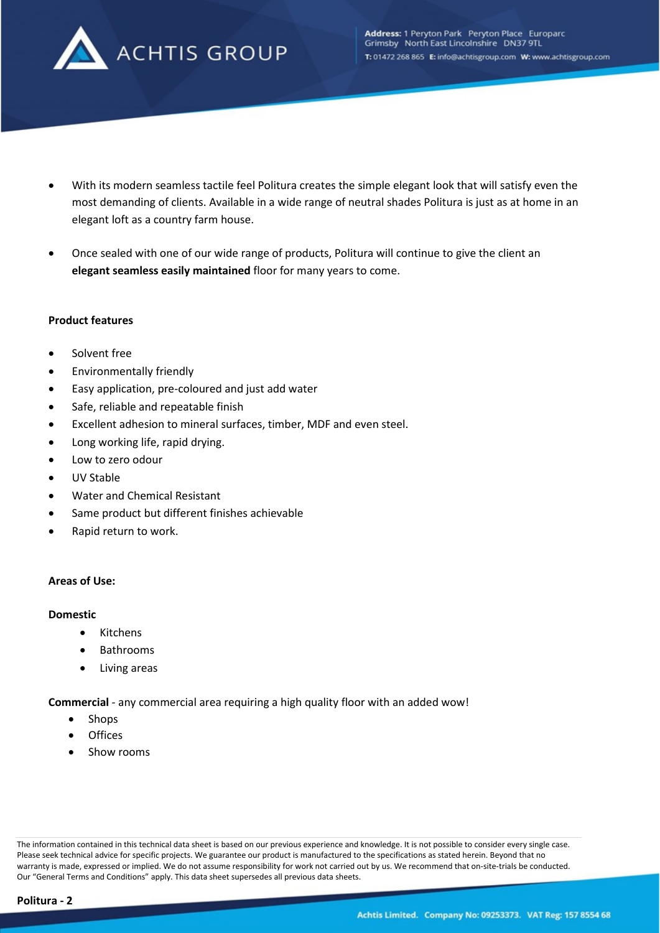

- With its modern seamless tactile feel Politura creates the simple elegant look that will satisfy even the most demanding of clients. Available in a wide range of neutral shades Politura is just as at home in an elegant loft as a country farm house.
- Once sealed with one of our wide range of products, Politura will continue to give the client an **elegant seamless easily maintained** floor for many years to come.

### **Product features**

- Solvent free
- Environmentally friendly
- Easy application, pre-coloured and just add water
- Safe, reliable and repeatable finish
- Excellent adhesion to mineral surfaces, timber, MDF and even steel.
- Long working life, rapid drying.
- Low to zero odour
- UV Stable
- Water and Chemical Resistant
- Same product but different finishes achievable
- Rapid return to work.

### **Areas of Use:**

#### **Domestic**

- Kitchens
- Bathrooms
- Living areas

**Commercial** - any commercial area requiring a high quality floor with an added wow!

- Shops
- **Offices**
- Show rooms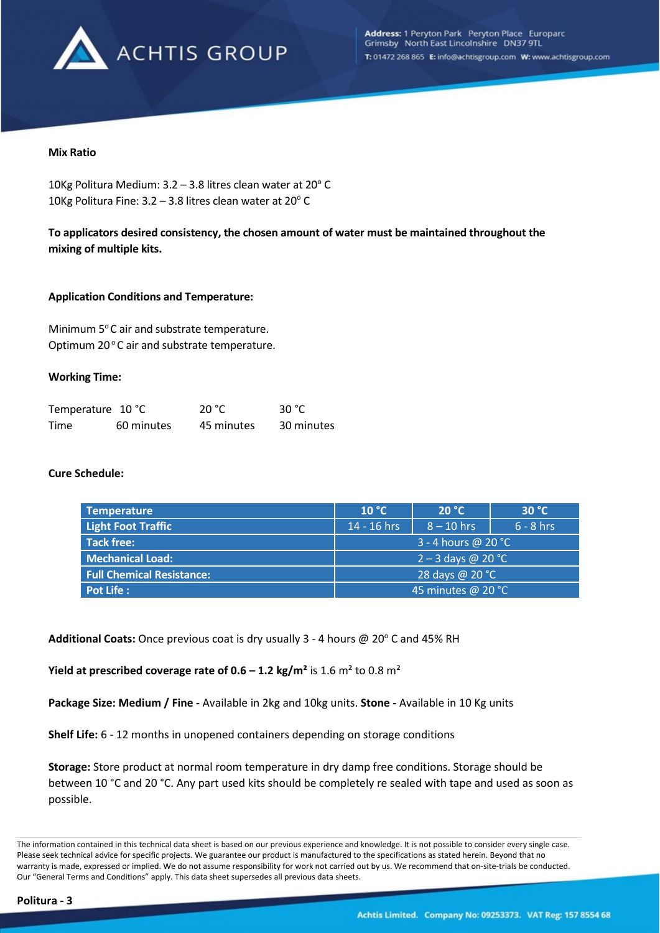

### **Mix Ratio**

10Kg Politura Medium:  $3.2 - 3.8$  litres clean water at  $20^{\circ}$  C 10Kg Politura Fine:  $3.2 - 3.8$  litres clean water at  $20^{\circ}$  C

**To applicators desired consistency, the chosen amount of water must be maintained throughout the mixing of multiple kits.**

### **Application Conditions and Temperature:**

Minimum  $5^{\circ}$ C air and substrate temperature. Optimum 20°C air and substrate temperature.

### **Working Time:**

| Temperature 10 °C |            | 20 °C      | -30 °C     |
|-------------------|------------|------------|------------|
| Time              | 60 minutes | 45 minutes | 30 minutes |

### **Cure Schedule:**

| <b>Temperature</b>               | 10 °C                | 20 °C        | 30 °C       |
|----------------------------------|----------------------|--------------|-------------|
| <b>Light Foot Traffic</b>        | 14 - 16 hrs          | $8 - 10$ hrs | $6 - 8$ hrs |
| <b>Tack free:</b>                | 3 - 4 hours @ 20 °C  |              |             |
| <b>Mechanical Load:</b>          | $2 - 3$ days @ 20 °C |              |             |
| <b>Full Chemical Resistance:</b> | 28 days @ 20 °C      |              |             |
| <b>Pot Life:</b>                 | 45 minutes @ 20 °C   |              |             |

Additional Coats: Once previous coat is dry usually 3 - 4 hours @ 20° C and 45% RH

**Yield at prescribed coverage rate of**  $0.6 - 1.2$  **kg/m<sup>2</sup> is**  $1.6$  **m<sup>2</sup> to**  $0.8$  **m<sup>2</sup>** 

**Package Size: Medium / Fine -** Available in 2kg and 10kg units. **Stone -** Available in 10 Kg units

**Shelf Life:** 6 - 12 months in unopened containers depending on storage conditions

**Storage:** Store product at normal room temperature in dry damp free conditions. Storage should be between 10 °C and 20 °C. Any part used kits should be completely re sealed with tape and used as soon as possible.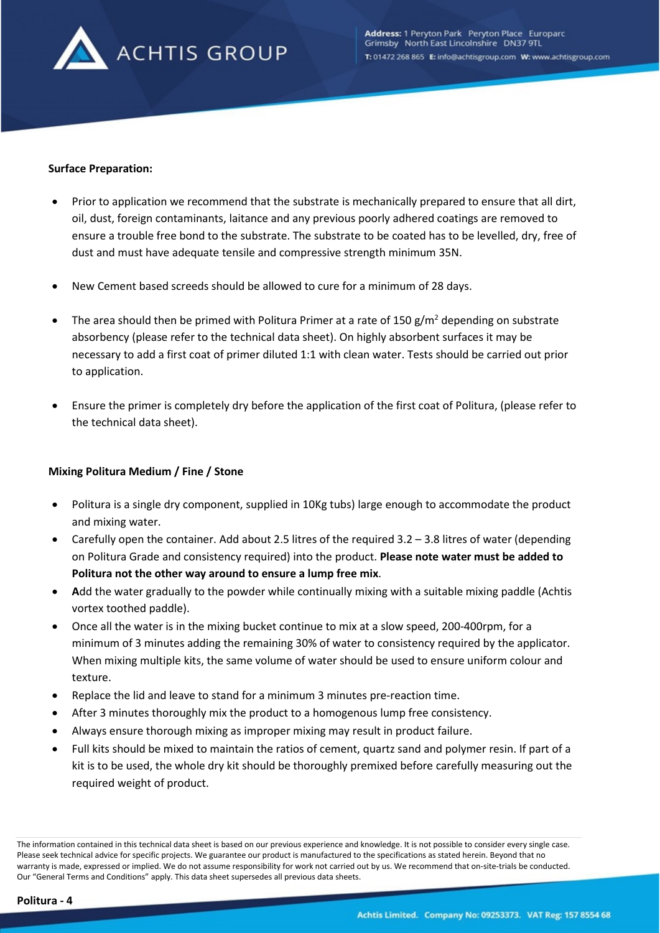

### **Surface Preparation:**

- Prior to application we recommend that the substrate is mechanically prepared to ensure that all dirt, oil, dust, foreign contaminants, laitance and any previous poorly adhered coatings are removed to ensure a trouble free bond to the substrate. The substrate to be coated has to be levelled, dry, free of dust and must have adequate tensile and compressive strength minimum 35N.
- New Cement based screeds should be allowed to cure for a minimum of 28 days.
- The area should then be primed with Politura Primer at a rate of 150  $\frac{g}{m^2}$  depending on substrate absorbency (please refer to the technical data sheet). On highly absorbent surfaces it may be necessary to add a first coat of primer diluted 1:1 with clean water. Tests should be carried out prior to application.
- Ensure the primer is completely dry before the application of the first coat of Politura, (please refer to the technical data sheet).

### **Mixing Politura Medium / Fine / Stone**

- Politura is a single dry component, supplied in 10Kg tubs) large enough to accommodate the product and mixing water.
- Carefully open the container. Add about 2.5 litres of the required 3.2 3.8 litres of water (depending on Politura Grade and consistency required) into the product. **Please note water must be added to Politura not the other way around to ensure a lump free mix**.
- **A**dd the water gradually to the powder while continually mixing with a suitable mixing paddle (Achtis vortex toothed paddle).
- Once all the water is in the mixing bucket continue to mix at a slow speed, 200-400rpm, for a minimum of 3 minutes adding the remaining 30% of water to consistency required by the applicator. When mixing multiple kits, the same volume of water should be used to ensure uniform colour and texture.
- Replace the lid and leave to stand for a minimum 3 minutes pre-reaction time.
- After 3 minutes thoroughly mix the product to a homogenous lump free consistency.
- Always ensure thorough mixing as improper mixing may result in product failure.
- Full kits should be mixed to maintain the ratios of cement, quartz sand and polymer resin. If part of a kit is to be used, the whole dry kit should be thoroughly premixed before carefully measuring out the required weight of product.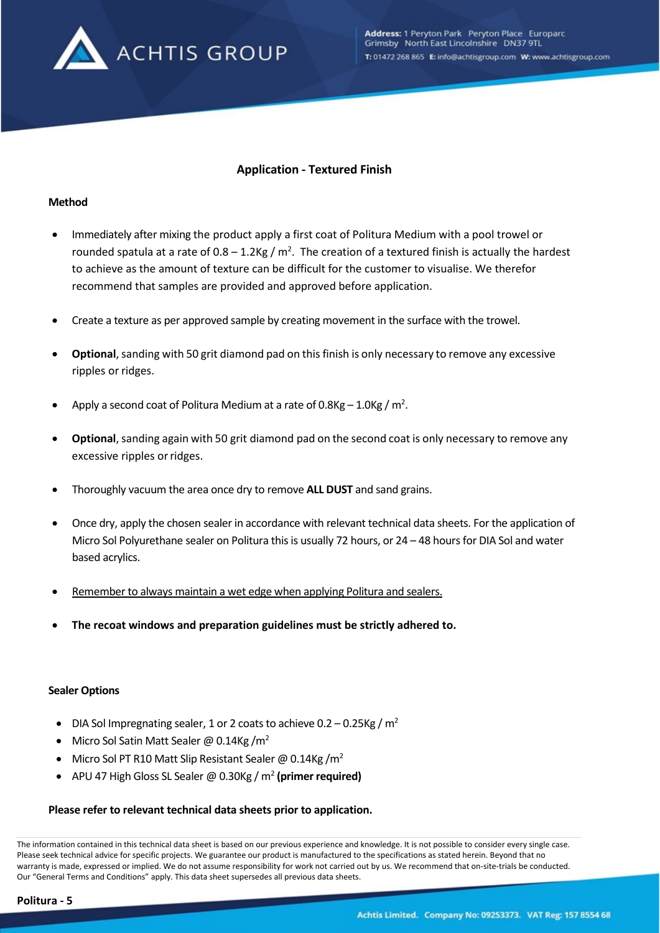

# **Application - Textured Finish**

### **Method**

- Immediately after mixing the product apply a first coat of Politura Medium with a pool trowel or rounded spatula at a rate of  $0.8 - 1.2$ Kg / m<sup>2</sup>. The creation of a textured finish is actually the hardest to achieve as the amount of texture can be difficult for the customer to visualise. We therefor recommend that samples are provided and approved before application.
- Create a texture as per approved sample by creating movement in the surface with the trowel.
- **Optional**, sanding with 50 grit diamond pad on this finish is only necessary to remove any excessive ripples or ridges.
- Apply a second coat of Politura Medium at a rate of  $0.8$ Kg  $-1.0$ Kg / m<sup>2</sup>.
- **Optional**, sanding again with 50 grit diamond pad on the second coat is only necessary to remove any excessive ripples or ridges.
- Thoroughly vacuum the area once dry to remove **ALL DUST** and sand grains.
- Once dry, apply the chosen sealer in accordance with relevant technical data sheets. For the application of Micro Sol Polyurethane sealer on Politura this is usually 72 hours, or 24 – 48 hours for DIA Sol and water based acrylics.
- Remember to always maintain a wet edge when applying Politura and sealers.
- **The recoat windows and preparation guidelines must be strictly adhered to.**

#### **Sealer Options**

- DIA Sol Impregnating sealer, 1 or 2 coats to achieve  $0.2 0.25$ Kg / m<sup>2</sup>
- Micro Sol Satin Matt Sealer @ 0.14Kg / $m^2$
- Micro Sol PT R10 Matt Slip Resistant Sealer @ 0.14Kg /m<sup>2</sup>
- APU 47 High Gloss SL Sealer @ 0.30Kg / m2 **(primer required)**

### **Please refer to relevant technical data sheets prior to application.**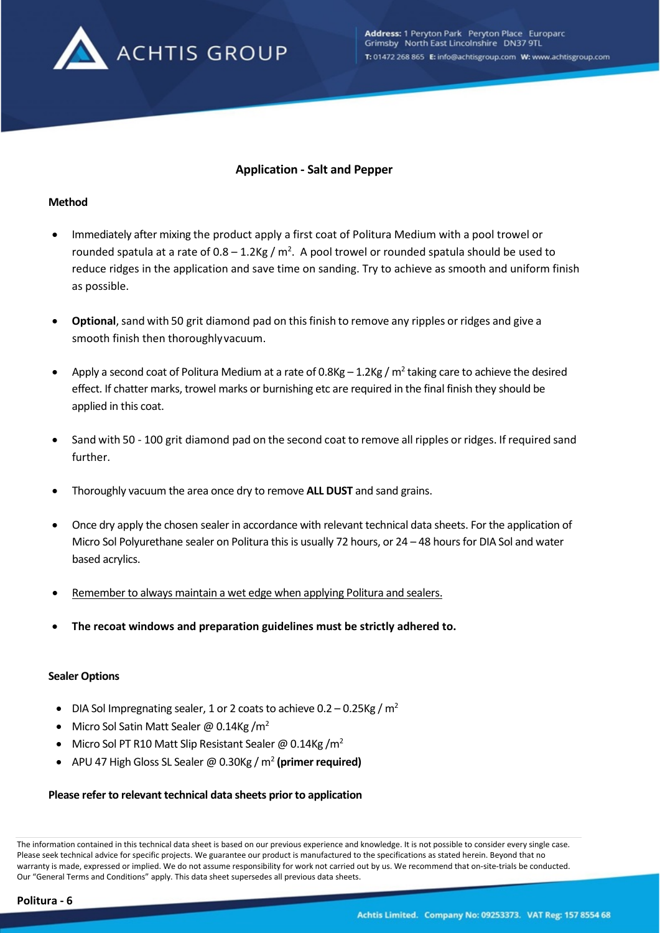

# **Application - Salt and Pepper**

### **Method**

- Immediately after mixing the product apply a first coat of Politura Medium with a pool trowel or rounded spatula at a rate of  $0.8 - 1.2$ Kg / m<sup>2</sup>. A pool trowel or rounded spatula should be used to reduce ridges in the application and save time on sanding. Try to achieve as smooth and uniform finish as possible.
- **Optional**, sand with 50 grit diamond pad on this finish to remove any ripples or ridges and give a smooth finish then thoroughlyvacuum.
- Apply a second coat of Politura Medium at a rate of  $0.8$ Kg  $-1.2$ Kg / m<sup>2</sup> taking care to achieve the desired effect. If chatter marks, trowel marks or burnishing etc are required in the final finish they should be applied in this coat.
- Sand with 50 100 grit diamond pad on the second coat to remove all ripples or ridges. If required sand further.
- Thoroughly vacuum the area once dry to remove **ALL DUST** and sand grains.
- Once dry apply the chosen sealer in accordance with relevant technical data sheets. For the application of Micro Sol Polyurethane sealer on Politura this is usually 72 hours, or 24 – 48 hours for DIA Sol and water based acrylics.
- Remember to always maintain a wet edge when applying Politura and sealers.
- **The recoat windows and preparation guidelines must be strictly adhered to.**

### **Sealer Options**

- DIA Sol Impregnating sealer, 1 or 2 coats to achieve  $0.2 0.25$ Kg / m<sup>2</sup>
- Micro Sol Satin Matt Sealer @ 0.14Kg / $m^2$
- Micro Sol PT R10 Matt Slip Resistant Sealer @ 0.14Kg /m<sup>2</sup>
- APU 47 High Gloss SL Sealer @ 0.30Kg / m2 **(primer required)**

### **Please refer to relevant technical data sheets prior to application**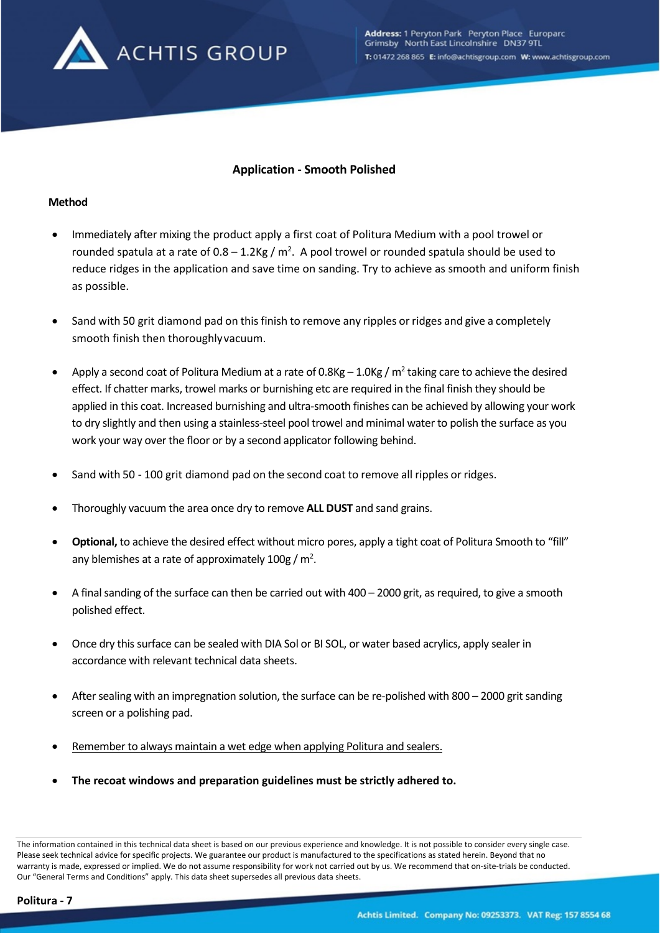

# **Application - Smooth Polished**

### **Method**

- Immediately after mixing the product apply a first coat of Politura Medium with a pool trowel or rounded spatula at a rate of  $0.8 - 1.2$ Kg / m<sup>2</sup>. A pool trowel or rounded spatula should be used to reduce ridges in the application and save time on sanding. Try to achieve as smooth and uniform finish as possible.
- Sand with 50 grit diamond pad on this finish to remove any ripples or ridges and give a completely smooth finish then thoroughlyvacuum.
- Apply a second coat of Politura Medium at a rate of 0.8Kg 1.0Kg /  $m^2$  taking care to achieve the desired effect. If chatter marks, trowel marks or burnishing etc are required in the final finish they should be applied in this coat. Increased burnishing and ultra-smooth finishes can be achieved by allowing your work to dry slightly and then using a stainless-steel pool trowel and minimal water to polish the surface as you work your way over the floor or by a second applicator following behind.
- Sand with 50 100 grit diamond pad on the second coat to remove all ripples or ridges.
- Thoroughly vacuum the area once dry to remove **ALL DUST** and sand grains.
- **Optional,** to achieve the desired effect without micro pores, apply a tight coat of Politura Smooth to "fill" any blemishes at a rate of approximately  $100g/m^2$ .
- A final sanding of the surface can then be carried out with 400 2000 grit, as required, to give a smooth polished effect.
- Once dry this surface can be sealed with DIA Sol or BI SOL, or water based acrylics, apply sealer in accordance with relevant technical data sheets.
- After sealing with an impregnation solution, the surface can be re-polished with 800 2000 grit sanding screen or a polishing pad.
- Remember to always maintain a wet edge when applying Politura and sealers.
- **The recoat windows and preparation guidelines must be strictly adhered to.**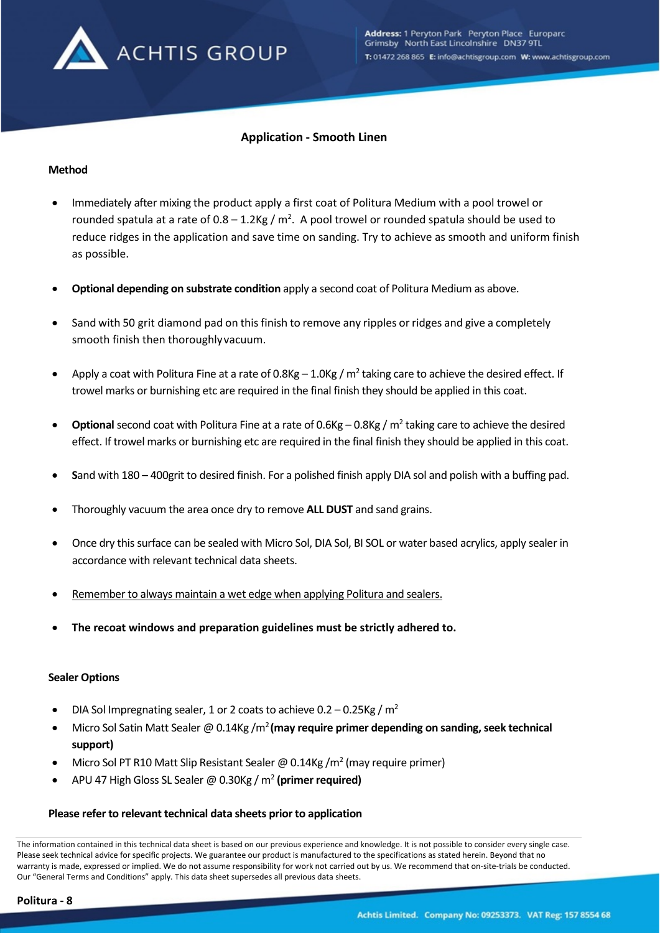

# **Application - Smooth Linen**

### **Method**

- Immediately after mixing the product apply a first coat of Politura Medium with a pool trowel or rounded spatula at a rate of 0.8 – 1.2Kg /  $m^2$ . A pool trowel or rounded spatula should be used to reduce ridges in the application and save time on sanding. Try to achieve as smooth and uniform finish as possible.
- **Optional depending on substrate condition** apply a second coat of Politura Medium as above.
- Sand with 50 grit diamond pad on this finish to remove any ripples or ridges and give a completely smooth finish then thoroughlyvacuum.
- Apply a coat with Politura Fine at a rate of 0.8Kg 1.0Kg /  $m^2$  taking care to achieve the desired effect. If trowel marks or burnishing etc are required in the final finish they should be applied in this coat.
- **Optional** second coat with Politura Fine at a rate of 0.6Kg 0.8Kg /  $m^2$  taking care to achieve the desired effect. If trowel marks or burnishing etc are required in the final finish they should be applied in this coat.
- **S**and with 180 400grit to desired finish. For a polished finish apply DIA sol and polish with a buffing pad.
- Thoroughly vacuum the area once dry to remove **ALL DUST** and sand grains.
- Once dry this surface can be sealed with Micro Sol, DIA Sol, BI SOL or water based acrylics, apply sealer in accordance with relevant technical data sheets.
- Remember to always maintain a wet edge when applying Politura and sealers.
- **The recoat windows and preparation guidelines must be strictly adhered to.**

#### **Sealer Options**

- DIA Sol Impregnating sealer, 1 or 2 coats to achieve  $0.2 0.25$ Kg / m<sup>2</sup>
- Micro Sol Satin Matt Sealer @ 0.14Kg /m2 **(may require primer depending on sanding, seek technical support)**
- Micro Sol PT R10 Matt Slip Resistant Sealer @ 0.14Kg /m<sup>2</sup> (may require primer)
- APU 47 High Gloss SL Sealer @ 0.30Kg / m2 **(primer required)**

### **Please refer to relevant technical data sheets prior to application**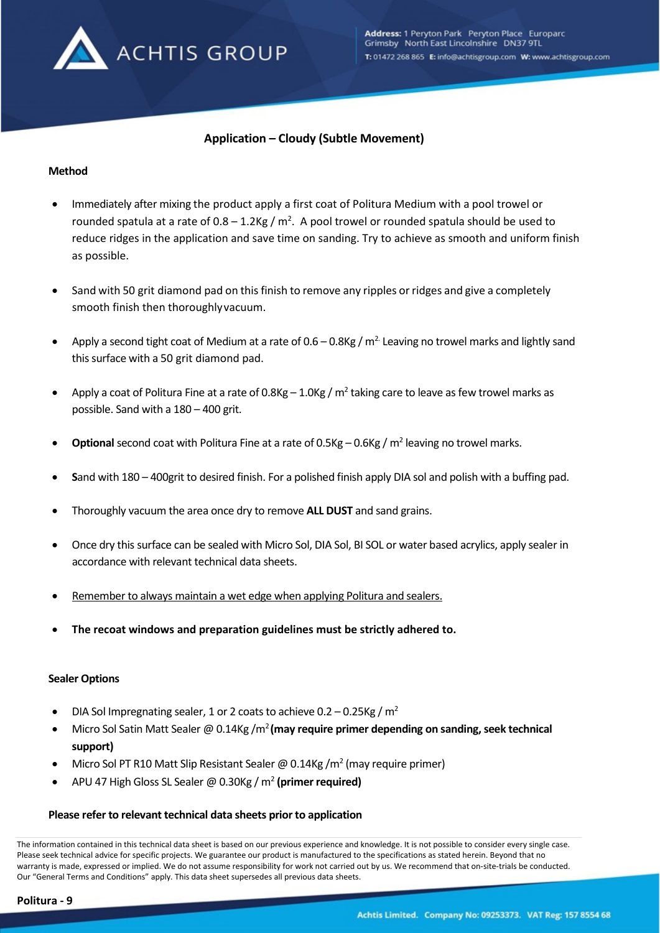

# **Application – Cloudy (Subtle Movement)**

### **Method**

- Immediately after mixing the product apply a first coat of Politura Medium with a pool trowel or rounded spatula at a rate of  $0.8 - 1.2$ Kg / m<sup>2</sup>. A pool trowel or rounded spatula should be used to reduce ridges in the application and save time on sanding. Try to achieve as smooth and uniform finish as possible.
- Sand with 50 grit diamond pad on this finish to remove any ripples or ridges and give a completely smooth finish then thoroughlyvacuum.
- Apply a second tight coat of Medium at a rate of  $0.6 0.8$ Kg / m<sup>2.</sup> Leaving no trowel marks and lightly sand this surface with a 50 grit diamond pad.
- Apply a coat of Politura Fine at a rate of 0.8Kg 1.0Kg /  $m^2$  taking care to leave as few trowel marks as possible. Sand with a 180 – 400 grit.
- **Optional** second coat with Politura Fine at a rate of 0.5Kg 0.6Kg / m<sup>2</sup> leaving no trowel marks.
- **S**and with 180 400grit to desired finish. For a polished finish apply DIA sol and polish with a buffing pad.
- Thoroughly vacuum the area once dry to remove **ALL DUST** and sand grains.
- Once dry this surface can be sealed with Micro Sol, DIA Sol, BI SOL or water based acrylics, apply sealer in accordance with relevant technical data sheets.
- Remember to always maintain a wet edge when applying Politura and sealers.
- **The recoat windows and preparation guidelines must be strictly adhered to.**

#### **Sealer Options**

- DIA Sol Impregnating sealer, 1 or 2 coats to achieve  $0.2 0.25$ Kg / m<sup>2</sup>
- Micro Sol Satin Matt Sealer @ 0.14Kg /m2 **(may require primer depending on sanding, seek technical support)**
- Micro Sol PT R10 Matt Slip Resistant Sealer @ 0.14Kg /m<sup>2</sup> (may require primer)
- APU 47 High Gloss SL Sealer @ 0.30Kg / m2 **(primer required)**

### **Please refer to relevant technical data sheets prior to application**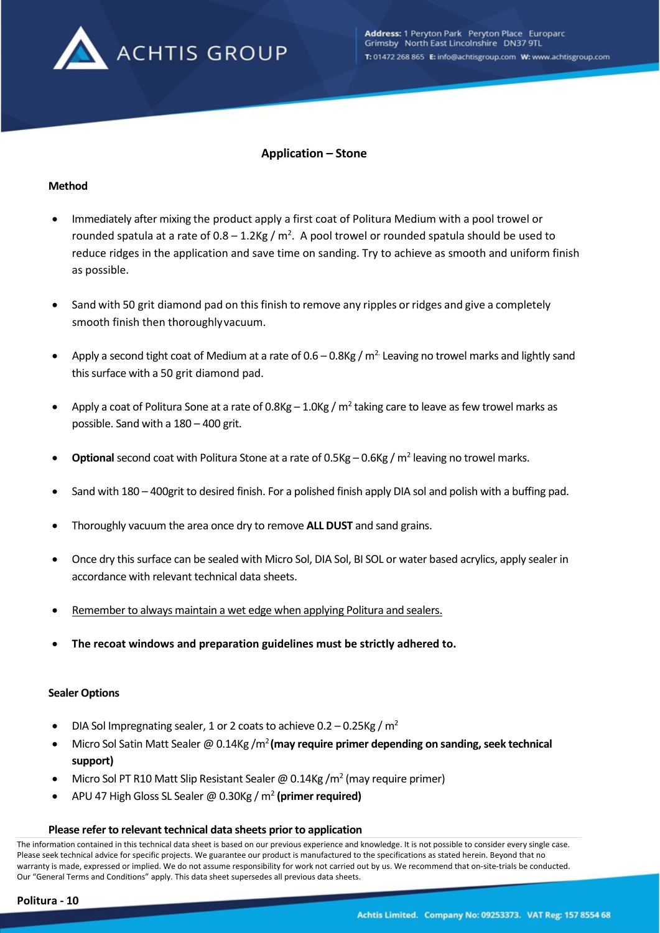

# **Application – Stone**

### **Method**

- Immediately after mixing the product apply a first coat of Politura Medium with a pool trowel or rounded spatula at a rate of 0.8 – 1.2Kg /  $m^2$ . A pool trowel or rounded spatula should be used to reduce ridges in the application and save time on sanding. Try to achieve as smooth and uniform finish as possible.
- Sand with 50 grit diamond pad on this finish to remove any ripples or ridges and give a completely smooth finish then thoroughlyvacuum.
- Apply a second tight coat of Medium at a rate of  $0.6 0.8$ Kg / m<sup>2.</sup> Leaving no trowel marks and lightly sand this surface with a 50 grit diamond pad.
- Apply a coat of Politura Sone at a rate of 0.8Kg 1.0Kg /  $m^2$  taking care to leave as few trowel marks as possible. Sand with a 180 – 400 grit.
- **Optional** second coat with Politura Stone at a rate of 0.5Kg 0.6Kg / m<sup>2</sup> leaving no trowel marks.
- Sand with 180 400grit to desired finish. For a polished finish apply DIA sol and polish with a buffing pad.
- Thoroughly vacuum the area once dry to remove **ALL DUST** and sand grains.
- Once dry this surface can be sealed with Micro Sol, DIA Sol, BI SOL or water based acrylics, apply sealer in accordance with relevant technical data sheets.
- Remember to always maintain a wet edge when applying Politura and sealers.
- **The recoat windows and preparation guidelines must be strictly adhered to.**

#### **Sealer Options**

- DIA Sol Impregnating sealer, 1 or 2 coats to achieve  $0.2 0.25$ Kg / m<sup>2</sup>
- Micro Sol Satin Matt Sealer @ 0.14Kg /m2 **(may require primer depending on sanding, seek technical support)**
- Micro Sol PT R10 Matt Slip Resistant Sealer @ 0.14Kg /m<sup>2</sup> (may require primer)
- APU 47 High Gloss SL Sealer @ 0.30Kg / m2 **(primer required)**

#### **Please refer to relevant technical data sheets prior to application**